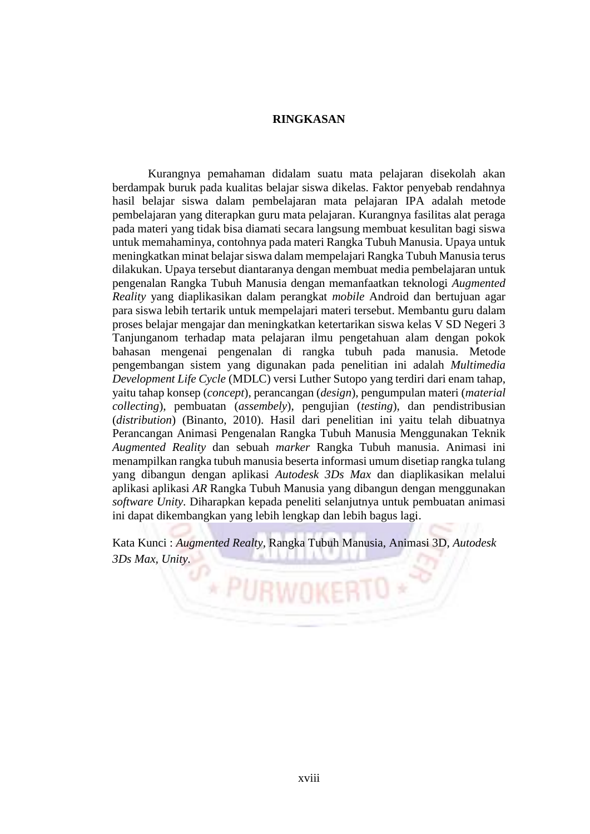## **RINGKASAN**

Kurangnya pemahaman didalam suatu mata pelajaran disekolah akan berdampak buruk pada kualitas belajar siswa dikelas. Faktor penyebab rendahnya hasil belajar siswa dalam pembelajaran mata pelajaran IPA adalah metode pembelajaran yang diterapkan guru mata pelajaran. Kurangnya fasilitas alat peraga pada materi yang tidak bisa diamati secara langsung membuat kesulitan bagi siswa untuk memahaminya, contohnya pada materi Rangka Tubuh Manusia. Upaya untuk meningkatkan minat belajar siswa dalam mempelajari Rangka Tubuh Manusia terus dilakukan. Upaya tersebut diantaranya dengan membuat media pembelajaran untuk pengenalan Rangka Tubuh Manusia dengan memanfaatkan teknologi *Augmented Reality* yang diaplikasikan dalam perangkat *mobile* Android dan bertujuan agar para siswa lebih tertarik untuk mempelajari materi tersebut. Membantu guru dalam proses belajar mengajar dan meningkatkan ketertarikan siswa kelas V SD Negeri 3 Tanjunganom terhadap mata pelajaran ilmu pengetahuan alam dengan pokok bahasan mengenai pengenalan di rangka tubuh pada manusia. Metode pengembangan sistem yang digunakan pada penelitian ini adalah *Multimedia Development Life Cycle* (MDLC) versi Luther Sutopo yang terdiri dari enam tahap, yaitu tahap konsep (*concept*), perancangan (*design*), pengumpulan materi (*material collecting*), pembuatan (*assembely*), pengujian (*testing*), dan pendistribusian (*distribution*) (Binanto, 2010). Hasil dari penelitian ini yaitu telah dibuatnya Perancangan Animasi Pengenalan Rangka Tubuh Manusia Menggunakan Teknik *Augmented Reality* dan sebuah *marker* Rangka Tubuh manusia. Animasi ini menampilkan rangka tubuh manusia beserta informasi umum disetiap rangka tulang yang dibangun dengan aplikasi *Autodesk 3Ds Max* dan diaplikasikan melalui aplikasi aplikasi *AR* Rangka Tubuh Manusia yang dibangun dengan menggunakan *software Unity.* Diharapkan kepada peneliti selanjutnya untuk pembuatan animasi ini dapat dikembangkan yang lebih lengkap dan lebih bagus lagi.

Kata Kunci : *Augmented Realty*, Rangka Tubuh Manusia, Animasi 3D, *Autodesk 3Ds Max, Unity.*

\* PURWOKERTO